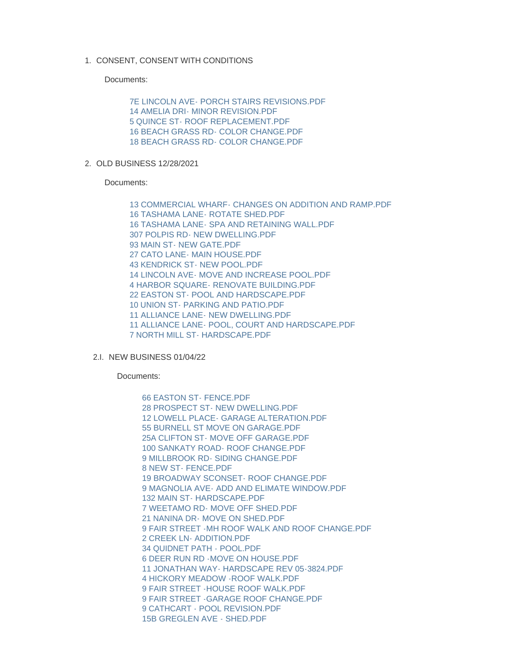1. CONSENT, CONSENT WITH CONDITIONS

Documents:

[7E LINCOLN AVE- PORCH STAIRS REVISIONS.PDF](https://www.nantucket-ma.gov/AgendaCenter/ViewFile/Item/4383?fileID=35570) [14 AMELIA DRI- MINOR REVISION.PDF](https://www.nantucket-ma.gov/AgendaCenter/ViewFile/Item/4383?fileID=35571) [5 QUINCE ST- ROOF REPLACEMENT.PDF](https://www.nantucket-ma.gov/AgendaCenter/ViewFile/Item/4383?fileID=35572) [16 BEACH GRASS RD- COLOR CHANGE.PDF](https://www.nantucket-ma.gov/AgendaCenter/ViewFile/Item/4383?fileID=35573) [18 BEACH GRASS RD- COLOR CHANGE.PDF](https://www.nantucket-ma.gov/AgendaCenter/ViewFile/Item/4383?fileID=35574)

2. OLD BUSINESS 12/28/2021

Documents:

[13 COMMERCIAL WHARF- CHANGES ON ADDITION AND RAMP.PDF](https://www.nantucket-ma.gov/AgendaCenter/ViewFile/Item/4384?fileID=35575) [16 TASHAMA LANE- ROTATE SHED.PDF](https://www.nantucket-ma.gov/AgendaCenter/ViewFile/Item/4384?fileID=35576) [16 TASHAMA LANE- SPA AND RETAINING WALL.PDF](https://www.nantucket-ma.gov/AgendaCenter/ViewFile/Item/4384?fileID=35577) [307 POLPIS RD- NEW DWELLING.PDF](https://www.nantucket-ma.gov/AgendaCenter/ViewFile/Item/4384?fileID=35578) [93 MAIN ST- NEW GATE.PDF](https://www.nantucket-ma.gov/AgendaCenter/ViewFile/Item/4384?fileID=35579) [27 CATO LANE- MAIN HOUSE.PDF](https://www.nantucket-ma.gov/AgendaCenter/ViewFile/Item/4384?fileID=35580) [43 KENDRICK ST- NEW POOL.PDF](https://www.nantucket-ma.gov/AgendaCenter/ViewFile/Item/4384?fileID=35581) [14 LINCOLN AVE- MOVE AND INCREASE POOL.PDF](https://www.nantucket-ma.gov/AgendaCenter/ViewFile/Item/4384?fileID=35582) [4 HARBOR SQUARE- RENOVATE BUILDING.PDF](https://www.nantucket-ma.gov/AgendaCenter/ViewFile/Item/4384?fileID=35583) [22 EASTON ST- POOL AND HARDSCAPE.PDF](https://www.nantucket-ma.gov/AgendaCenter/ViewFile/Item/4384?fileID=35584) [10 UNION ST- PARKING AND PATIO.PDF](https://www.nantucket-ma.gov/AgendaCenter/ViewFile/Item/4384?fileID=35585) [11 ALLIANCE LANE- NEW DWELLING.PDF](https://www.nantucket-ma.gov/AgendaCenter/ViewFile/Item/4384?fileID=35586) [11 ALLIANCE LANE- POOL, COURT AND HARDSCAPE.PDF](https://www.nantucket-ma.gov/AgendaCenter/ViewFile/Item/4384?fileID=35587) [7 NORTH MILL ST- HARDSCAPE.PDF](https://www.nantucket-ma.gov/AgendaCenter/ViewFile/Item/4384?fileID=35588)

2.I. NEW BUSINESS 01/04/22

Documents:

[66 EASTON ST- FENCE.PDF](https://www.nantucket-ma.gov/AgendaCenter/ViewFile/Item/4385?fileID=35589) [28 PROSPECT ST- NEW DWELLING.PDF](https://www.nantucket-ma.gov/AgendaCenter/ViewFile/Item/4385?fileID=35590) [12 LOWELL PLACE- GARAGE ALTERATION.PDF](https://www.nantucket-ma.gov/AgendaCenter/ViewFile/Item/4385?fileID=35591) [55 BURNELL ST MOVE ON GARAGE.PDF](https://www.nantucket-ma.gov/AgendaCenter/ViewFile/Item/4385?fileID=35592) [25A CLIFTON ST- MOVE OFF GARAGE.PDF](https://www.nantucket-ma.gov/AgendaCenter/ViewFile/Item/4385?fileID=35593) [100 SANKATY ROAD- ROOF CHANGE.PDF](https://www.nantucket-ma.gov/AgendaCenter/ViewFile/Item/4385?fileID=35594) 9 MILLBROOK RD- SIDING CHANGE PDF [8 NEW ST- FENCE.PDF](https://www.nantucket-ma.gov/AgendaCenter/ViewFile/Item/4385?fileID=35596) [19 BROADWAY SCONSET- ROOF CHANGE.PDF](https://www.nantucket-ma.gov/AgendaCenter/ViewFile/Item/4385?fileID=35597) [9 MAGNOLIA AVE- ADD AND ELIMATE WINDOW.PDF](https://www.nantucket-ma.gov/AgendaCenter/ViewFile/Item/4385?fileID=35598) [132 MAIN ST- HARDSCAPE.PDF](https://www.nantucket-ma.gov/AgendaCenter/ViewFile/Item/4385?fileID=35599) [7 WEETAMO RD- MOVE OFF SHED.PDF](https://www.nantucket-ma.gov/AgendaCenter/ViewFile/Item/4385?fileID=35600) [21 NANINA DR- MOVE ON SHED.PDF](https://www.nantucket-ma.gov/AgendaCenter/ViewFile/Item/4385?fileID=35601) [9 FAIR STREET -MH ROOF WALK AND ROOF CHANGE.PDF](https://www.nantucket-ma.gov/AgendaCenter/ViewFile/Item/4385?fileID=35602) [2 CREEK LN- ADDITION.PDF](https://www.nantucket-ma.gov/AgendaCenter/ViewFile/Item/4385?fileID=35603) [34 QUIDNET PATH - POOL.PDF](https://www.nantucket-ma.gov/AgendaCenter/ViewFile/Item/4385?fileID=35604) [6 DEER RUN RD -MOVE ON HOUSE.PDF](https://www.nantucket-ma.gov/AgendaCenter/ViewFile/Item/4385?fileID=35605) [11 JONATHAN WAY- HARDSCAPE REV 05-3824.PDF](https://www.nantucket-ma.gov/AgendaCenter/ViewFile/Item/4385?fileID=35606) [4 HICKORY MEADOW -ROOF WALK.PDF](https://www.nantucket-ma.gov/AgendaCenter/ViewFile/Item/4385?fileID=35607) [9 FAIR STREET -HOUSE ROOF WALK.PDF](https://www.nantucket-ma.gov/AgendaCenter/ViewFile/Item/4385?fileID=35608) [9 FAIR STREET -GARAGE ROOF CHANGE.PDF](https://www.nantucket-ma.gov/AgendaCenter/ViewFile/Item/4385?fileID=35609) [9 CATHCART - POOL REVISION.PDF](https://www.nantucket-ma.gov/AgendaCenter/ViewFile/Item/4385?fileID=35610) [15B GREGLEN AVE - SHED.PDF](https://www.nantucket-ma.gov/AgendaCenter/ViewFile/Item/4385?fileID=35611)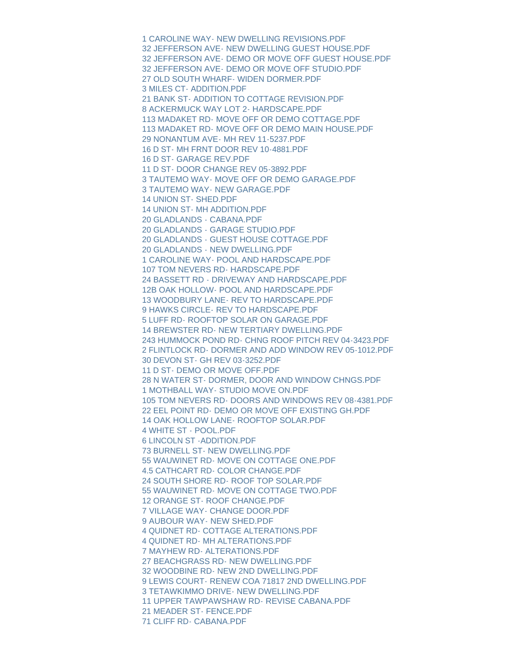[1 CAROLINE WAY- NEW DWELLING REVISIONS.PDF](https://www.nantucket-ma.gov/AgendaCenter/ViewFile/Item/4385?fileID=35612) [32 JEFFERSON AVE- NEW DWELLING GUEST HOUSE.PDF](https://www.nantucket-ma.gov/AgendaCenter/ViewFile/Item/4385?fileID=35613) [32 JEFFERSON AVE- DEMO OR MOVE OFF GUEST HOUSE.PDF](https://www.nantucket-ma.gov/AgendaCenter/ViewFile/Item/4385?fileID=35614) [32 JEFFERSON AVE- DEMO OR MOVE OFF STUDIO.PDF](https://www.nantucket-ma.gov/AgendaCenter/ViewFile/Item/4385?fileID=35615) [27 OLD SOUTH WHARF- WIDEN DORMER.PDF](https://www.nantucket-ma.gov/AgendaCenter/ViewFile/Item/4385?fileID=35616) [3 MILES CT- ADDITION.PDF](https://www.nantucket-ma.gov/AgendaCenter/ViewFile/Item/4385?fileID=35617) [21 BANK ST- ADDITION TO COTTAGE REVISION.PDF](https://www.nantucket-ma.gov/AgendaCenter/ViewFile/Item/4385?fileID=35618) [8 ACKERMUCK WAY LOT 2- HARDSCAPE.PDF](https://www.nantucket-ma.gov/AgendaCenter/ViewFile/Item/4385?fileID=35619) [113 MADAKET RD- MOVE OFF OR DEMO COTTAGE.PDF](https://www.nantucket-ma.gov/AgendaCenter/ViewFile/Item/4385?fileID=35620) [113 MADAKET RD- MOVE OFF OR DEMO MAIN HOUSE.PDF](https://www.nantucket-ma.gov/AgendaCenter/ViewFile/Item/4385?fileID=35621) [29 NONANTUM AVE- MH REV 11-5237.PDF](https://www.nantucket-ma.gov/AgendaCenter/ViewFile/Item/4385?fileID=35622) [16 D ST- MH FRNT DOOR REV 10-4881.PDF](https://www.nantucket-ma.gov/AgendaCenter/ViewFile/Item/4385?fileID=35623) [16 D ST- GARAGE REV.PDF](https://www.nantucket-ma.gov/AgendaCenter/ViewFile/Item/4385?fileID=35624) [11 D ST- DOOR CHANGE REV 05-3892.PDF](https://www.nantucket-ma.gov/AgendaCenter/ViewFile/Item/4385?fileID=35625) [3 TAUTEMO WAY- MOVE OFF OR DEMO GARAGE.PDF](https://www.nantucket-ma.gov/AgendaCenter/ViewFile/Item/4385?fileID=35626) [3 TAUTEMO WAY- NEW GARAGE.PDF](https://www.nantucket-ma.gov/AgendaCenter/ViewFile/Item/4385?fileID=35627) [14 UNION ST- SHED.PDF](https://www.nantucket-ma.gov/AgendaCenter/ViewFile/Item/4385?fileID=35628) [14 UNION ST- MH ADDITION.PDF](https://www.nantucket-ma.gov/AgendaCenter/ViewFile/Item/4385?fileID=35629) [20 GLADLANDS - CABANA.PDF](https://www.nantucket-ma.gov/AgendaCenter/ViewFile/Item/4385?fileID=35630) [20 GLADLANDS - GARAGE STUDIO.PDF](https://www.nantucket-ma.gov/AgendaCenter/ViewFile/Item/4385?fileID=35631) [20 GLADLANDS - GUEST HOUSE COTTAGE.PDF](https://www.nantucket-ma.gov/AgendaCenter/ViewFile/Item/4385?fileID=35632) [20 GLADLANDS - NEW DWELLING.PDF](https://www.nantucket-ma.gov/AgendaCenter/ViewFile/Item/4385?fileID=35633) [1 CAROLINE WAY- POOL AND HARDSCAPE.PDF](https://www.nantucket-ma.gov/AgendaCenter/ViewFile/Item/4385?fileID=35634) [107 TOM NEVERS RD- HARDSCAPE.PDF](https://www.nantucket-ma.gov/AgendaCenter/ViewFile/Item/4385?fileID=35635) [24 BASSETT RD - DRIVEWAY AND HARDSCAPE.PDF](https://www.nantucket-ma.gov/AgendaCenter/ViewFile/Item/4385?fileID=35636) [12B OAK HOLLOW- POOL AND HARDSCAPE.PDF](https://www.nantucket-ma.gov/AgendaCenter/ViewFile/Item/4385?fileID=35637) [13 WOODBURY LANE- REV TO HARDSCAPE.PDF](https://www.nantucket-ma.gov/AgendaCenter/ViewFile/Item/4385?fileID=35638) [9 HAWKS CIRCLE- REV TO HARDSCAPE.PDF](https://www.nantucket-ma.gov/AgendaCenter/ViewFile/Item/4385?fileID=35639) [5 LUFF RD- ROOFTOP SOLAR ON GARAGE.PDF](https://www.nantucket-ma.gov/AgendaCenter/ViewFile/Item/4385?fileID=35640) [14 BREWSTER RD- NEW TERTIARY DWELLING.PDF](https://www.nantucket-ma.gov/AgendaCenter/ViewFile/Item/4385?fileID=35641) [243 HUMMOCK POND RD- CHNG ROOF PITCH REV 04-3423.PDF](https://www.nantucket-ma.gov/AgendaCenter/ViewFile/Item/4385?fileID=35642) [2 FLINTLOCK RD- DORMER AND ADD WINDOW REV 05-1012.PDF](https://www.nantucket-ma.gov/AgendaCenter/ViewFile/Item/4385?fileID=35643) [30 DEVON ST- GH REV 03-3252.PDF](https://www.nantucket-ma.gov/AgendaCenter/ViewFile/Item/4385?fileID=35644) [11 D ST- DEMO OR MOVE OFF.PDF](https://www.nantucket-ma.gov/AgendaCenter/ViewFile/Item/4385?fileID=35645) [28 N WATER ST- DORMER, DOOR AND WINDOW CHNGS.PDF](https://www.nantucket-ma.gov/AgendaCenter/ViewFile/Item/4385?fileID=35646) [1 MOTHBALL WAY- STUDIO MOVE ON.PDF](https://www.nantucket-ma.gov/AgendaCenter/ViewFile/Item/4385?fileID=35647) [105 TOM NEVERS RD- DOORS AND WINDOWS REV 08-4381.PDF](https://www.nantucket-ma.gov/AgendaCenter/ViewFile/Item/4385?fileID=35648) [22 EEL POINT RD- DEMO OR MOVE OFF EXISTING GH.PDF](https://www.nantucket-ma.gov/AgendaCenter/ViewFile/Item/4385?fileID=35649) [14 OAK HOLLOW LANE- ROOFTOP SOLAR.PDF](https://www.nantucket-ma.gov/AgendaCenter/ViewFile/Item/4385?fileID=35650) [4 WHITE ST - POOL.PDF](https://www.nantucket-ma.gov/AgendaCenter/ViewFile/Item/4385?fileID=35651) [6 LINCOLN ST -ADDITION.PDF](https://www.nantucket-ma.gov/AgendaCenter/ViewFile/Item/4385?fileID=35652) [73 BURNELL ST- NEW DWELLING.PDF](https://www.nantucket-ma.gov/AgendaCenter/ViewFile/Item/4385?fileID=35653) [55 WAUWINET RD- MOVE ON COTTAGE ONE.PDF](https://www.nantucket-ma.gov/AgendaCenter/ViewFile/Item/4385?fileID=35654) [4.5 CATHCART RD- COLOR CHANGE.PDF](https://www.nantucket-ma.gov/AgendaCenter/ViewFile/Item/4385?fileID=35655) [24 SOUTH SHORE RD- ROOF TOP SOLAR.PDF](https://www.nantucket-ma.gov/AgendaCenter/ViewFile/Item/4385?fileID=35656) [55 WAUWINET RD- MOVE ON COTTAGE TWO.PDF](https://www.nantucket-ma.gov/AgendaCenter/ViewFile/Item/4385?fileID=35657) [12 ORANGE ST- ROOF CHANGE.PDF](https://www.nantucket-ma.gov/AgendaCenter/ViewFile/Item/4385?fileID=35658) [7 VILLAGE WAY- CHANGE DOOR.PDF](https://www.nantucket-ma.gov/AgendaCenter/ViewFile/Item/4385?fileID=35659) [9 AUBOUR WAY- NEW SHED.PDF](https://www.nantucket-ma.gov/AgendaCenter/ViewFile/Item/4385?fileID=35660) [4 QUIDNET RD- COTTAGE ALTERATIONS.PDF](https://www.nantucket-ma.gov/AgendaCenter/ViewFile/Item/4385?fileID=35661) [4 QUIDNET RD- MH ALTERATIONS.PDF](https://www.nantucket-ma.gov/AgendaCenter/ViewFile/Item/4385?fileID=35662) [7 MAYHEW RD- ALTERATIONS.PDF](https://www.nantucket-ma.gov/AgendaCenter/ViewFile/Item/4385?fileID=35663) [27 BEACHGRASS RD- NEW DWELLING.PDF](https://www.nantucket-ma.gov/AgendaCenter/ViewFile/Item/4385?fileID=35664) [32 WOODBINE RD- NEW 2ND DWELLING.PDF](https://www.nantucket-ma.gov/AgendaCenter/ViewFile/Item/4385?fileID=35665) [9 LEWIS COURT- RENEW COA 71817 2ND DWELLING.PDF](https://www.nantucket-ma.gov/AgendaCenter/ViewFile/Item/4385?fileID=35666) [3 TETAWKIMMO DRIVE- NEW DWELLING.PDF](https://www.nantucket-ma.gov/AgendaCenter/ViewFile/Item/4385?fileID=35667) [11 UPPER TAWPAWSHAW RD- REVISE CABANA.PDF](https://www.nantucket-ma.gov/AgendaCenter/ViewFile/Item/4385?fileID=35668) [21 MEADER ST- FENCE.PDF](https://www.nantucket-ma.gov/AgendaCenter/ViewFile/Item/4385?fileID=35669) [71 CLIFF RD- CABANA.PDF](https://www.nantucket-ma.gov/AgendaCenter/ViewFile/Item/4385?fileID=35670)